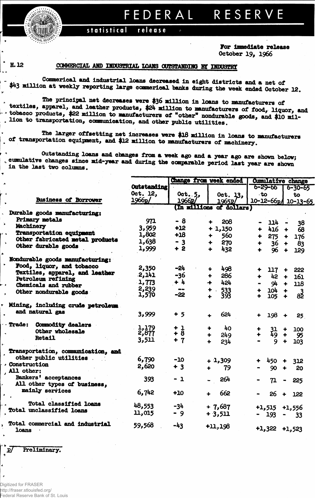## RESERVE FEDERAL

## statistical release

For immediate release October 19, 1966

H.12

## COMMERCIAL AND INDUSTRIAL LOANS OUTSTANDING BY INDUSTRY

Commerical and industrial loans decreased in eight districts and a net of \$43 million at weekly reporting large commerical banks during the week ended October 12.

The principal net decreases were \$36 million in loans to manufacturers of textiles, apparel, and leather products, \$24 million to manufacturers of food, liquor, and - tobacco products, \$22 million to manufacturers of "other" nondurable goods, and \$10 mil-. lion to transportation, communication, and other public utilities.

The larger offsetting net increases were \$18 million in loans to manufacturers of transportation equipment, and \$12 million to manufacturers of machinery.

Outstanding loans and changes from a week ago and a year ago are shown below; , cumulative changes since mid-year and during the comparable period last year are shown in the last two columns.

|                                          |             |                   | Change from week ended      | <b>Cumulative change</b> |                                           |  |  |  |
|------------------------------------------|-------------|-------------------|-----------------------------|--------------------------|-------------------------------------------|--|--|--|
|                                          | Outstanding |                   |                             | 6-29-66                  | $6 - 30 - 65$                             |  |  |  |
|                                          | Oct. 12,    | Oct. $5,$         |                             | ∴to                      |                                           |  |  |  |
|                                          |             |                   | Oct. $13,$                  |                          | to                                        |  |  |  |
| <b>Business of Borrower</b>              | 1966p/      | 1966 <sub>p</sub> | 1965 <sub>p</sub> /         |                          | 10-12-66p/ 10-13-65                       |  |  |  |
|                                          |             |                   | (In millions of dollars)    |                          |                                           |  |  |  |
| Durable goods manufacturing:             |             |                   |                             |                          |                                           |  |  |  |
| Primary metals                           | 971         | - 8               | 208<br>₩                    | 114 -                    | 38                                        |  |  |  |
| Machinery                                | 3,959       | $+12$             | $+1,150$                    | 416                      |                                           |  |  |  |
| <b>Transportation equipment</b>          | 1,802       | $+18$             |                             | ♣                        | 68<br>$\ddot{\phantom{1}}$                |  |  |  |
| Other fabricated metal products          |             |                   | 560<br>$\ddot{\phantom{1}}$ | $275 +$                  | 176                                       |  |  |  |
| Other durable goods                      | 1,638       | $-3$              | 270<br>♣                    |                          | $36 +$<br>83                              |  |  |  |
|                                          | 1,999       | $+2$              | 432<br>$\ddot{\phantom{1}}$ | 96                       | $\ddot{\phantom{1}}$<br>129               |  |  |  |
| Nondurable goods manufacturing:          |             |                   |                             |                          |                                           |  |  |  |
| Food, liquor, and tobacco                | 2,350       | $-24$             |                             |                          |                                           |  |  |  |
| Textiles, apparel, and leather           |             |                   | 498<br>$\ddotmark$          | 117                      | 222<br>$\ddot{\phantom{1}}$               |  |  |  |
| <b>Petroleum refining</b>                | 2,141       | $-36$             | 286<br>$\ddot{\phantom{1}}$ | 42<br>♣                  | 161<br>$\ddot{\bullet}$                   |  |  |  |
| Chemicals and rubber                     | 1,773       | $+4$              | 424<br>$\ddotmark$          | 94                       | $\ddot{\bullet}$<br>118                   |  |  |  |
|                                          | 2,239       | $\bullet$         |                             | 104                      | $\ddot{\phantom{1}}$                      |  |  |  |
| Other nondurable goods                   | 1,570       | $-22$             | $+ 533$<br>+ 393            | 105                      | $8\overline{2}$<br>$\ddot{\bullet}$       |  |  |  |
|                                          |             |                   |                             |                          |                                           |  |  |  |
| Mining, including crude petroleum.       |             |                   |                             |                          |                                           |  |  |  |
| and natural gas                          | 3,999       |                   |                             |                          |                                           |  |  |  |
|                                          |             | $+5$              | 624                         | $198 +$                  | 25                                        |  |  |  |
| Trade: Commodity dealers                 |             |                   |                             |                          |                                           |  |  |  |
| Other wholesale                          | 1,179       | $+1$              | 40<br>÷                     |                          | 100                                       |  |  |  |
|                                          | 2,877       | $+ 8$             | 249                         | $^{31}_{49}$             | $\ddot{\phantom{1}}$<br>95                |  |  |  |
| <b>Retail</b>                            | 3,511       | $+7$              | 234                         | 9                        | 103                                       |  |  |  |
| Transportation, communication, and       |             |                   |                             |                          |                                           |  |  |  |
| other public utilities.                  |             |                   |                             |                          |                                           |  |  |  |
| Construction                             | 6,790       | $-10$             | $+1,309$                    | 450 +                    | 312                                       |  |  |  |
| All other:                               | 2,620       | $+3$              | 79                          | 90                       | 20                                        |  |  |  |
|                                          |             |                   |                             |                          |                                           |  |  |  |
| Bankers' acceptances                     | 393         | $-1$              | 264                         | 71                       | 225<br>$\qquad \qquad \blacksquare$       |  |  |  |
| All other types of business,             |             |                   |                             |                          |                                           |  |  |  |
| mainly services                          | 6,742       | $+10$             | 662                         |                          |                                           |  |  |  |
|                                          |             |                   |                             | 26                       | $+$ 122                                   |  |  |  |
| <b>Total classified loans</b>            |             |                   |                             |                          |                                           |  |  |  |
| Total unclassified loans                 | 48,553      | $-34$             | $+7,687$                    |                          | $+1,515$ $+1,556$                         |  |  |  |
|                                          | 11,015      | $-9$              | $+3,511$                    | $-193$                   | $\bullet$ .<br><br><br><br><br><br><br>33 |  |  |  |
|                                          |             |                   |                             |                          |                                           |  |  |  |
| Total commercial and industrial<br>loans | 59,568      | -43               | $+11,198$                   | $+1,322$ $+1,523$        |                                           |  |  |  |
|                                          |             |                   |                             |                          |                                           |  |  |  |

Preliminary.

 $\overline{\phantom{a}}$ - 2

 $\lambda$ 

¥

 $\overline{p}$